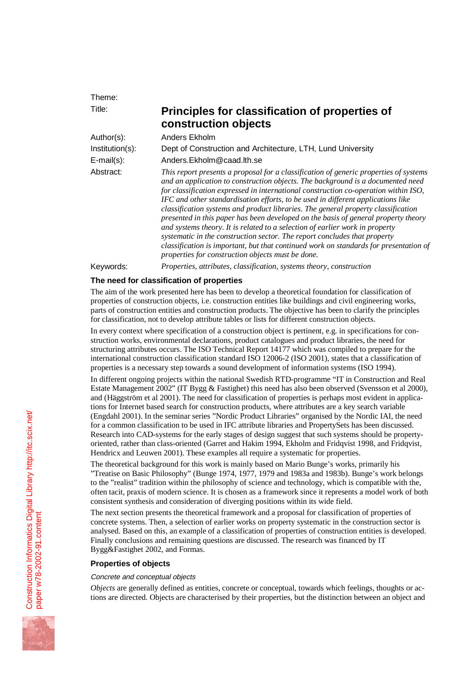Theme:

# Title: **Principles for classification of properties of construction objects**

Author(s): Anders Ekholm Institution(s): Dept of Construction and Architecture, LTH, Lund University E-mail(s): Anders.Ekholm@caad.lth.se Abstract: *This report presents a proposal for a classification of generic properties of systems and an application to construction objects. The background is a documented need for classification expressed in international construction co-operation within ISO, IFC and other standardisation efforts, to be used in different applications like classification systems and product libraries. The general property classification presented in this paper has been developed on the basis of general property theory and systems theory. It is related to a selection of earlier work in property systematic in the construction sector. The report concludes that property classification is important, but that continued work on standards for presentation of properties for construction objects must be done.* Keywords: *Properties, attributes, classification, systems theory, construction*

# **The need for classification of properties**

The aim of the work presented here has been to develop a theoretical foundation for classification of properties of construction objects, i.e. construction entities like buildings and civil engineering works, parts of construction entities and construction products. The objective has been to clarify the principles for classification, not to develop attribute tables or lists for different construction objects.

In every context where specification of a construction object is pertinent, e.g. in specifications for construction works, environmental declarations, product catalogues and product libraries, the need for structuring attributes occurs. The ISO Technical Report 14177 which was compiled to prepare for the international construction classification standard ISO 12006-2 (ISO 2001), states that a classification of properties is a necessary step towards a sound development of information systems (ISO 1994).

In different ongoing projects within the national Swedish RTD-programme "IT in Construction and Real Estate Management 2002" (IT Bygg & Fastighet) this need has also been observed (Svensson et al 2000), and (Häggström et al 2001). The need for classification of properties is perhaps most evident in applications for Internet based search for construction products, where attributes are a key search variable (Engdahl 2001). In the seminar series "Nordic Product Libraries" organised by the Nordic IAI, the need for a common classification to be used in IFC attribute libraries and PropertySets has been discussed. Research into CAD-systems for the early stages of design suggest that such systems should be propertyoriented, rather than class-oriented (Garret and Hakim 1994, Ekholm and Fridqvist 1998, and Fridqvist, Hendricx and Leuwen 2001). These examples all require a systematic for properties.

The theoretical background for this work is mainly based on Mario Bunge's works, primarily his "Treatise on Basic Philosophy" (Bunge 1974, 1977, 1979 and 1983a and 1983b). Bunge's work belongs to the "realist" tradition within the philosophy of science and technology, which is compatible with the, often tacit, praxis of modern science. It is chosen as a framework since it represents a model work of both consistent synthesis and consideration of diverging positions within its wide field.

The next section presents the theoretical framework and a proposal for classification of properties of concrete systems. Then, a selection of earlier works on property systematic in the construction sector is analysed. Based on this, an example of a classification of properties of construction entities is developed. Finally conclusions and remaining questions are discussed. The research was financed by IT Bygg&Fastighet 2002, and Formas.

# **Properties of objects**

## Concrete and conceptual objects

*Objects* are generally defined as entities, concrete or conceptual, towards which feelings, thoughts or actions are directed. Objects are characterised by their properties, but the distinction between an object and

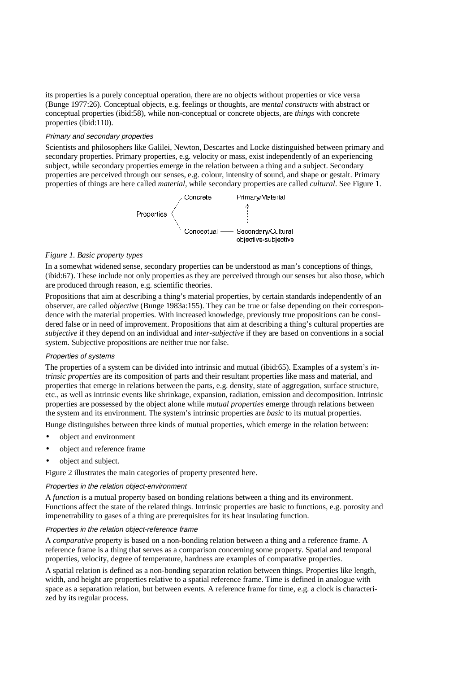its properties is a purely conceptual operation, there are no objects without properties or vice versa (Bunge 1977:26). Conceptual objects, e.g. feelings or thoughts, are *mental constructs* with abstract or conceptual properties (ibid:58), while non-conceptual or concrete objects, are *things* with concrete properties (ibid:110).

#### Primary and secondary properties

Scientists and philosophers like Galilei, Newton, Descartes and Locke distinguished between primary and secondary properties. Primary properties, e.g. velocity or mass, exist independently of an experiencing subject, while secondary properties emerge in the relation between a thing and a subject. Secondary properties are perceived through our senses, e.g. colour, intensity of sound, and shape or gestalt. Primary properties of things are here called *material*, while secondary properties are called *cultural*. See Figure 1.



#### *Figure 1. Basic property types*

In a somewhat widened sense, secondary properties can be understood as man's conceptions of things, (ibid:67). These include not only properties as they are perceived through our senses but also those, which are produced through reason, e.g. scientific theories.

Propositions that aim at describing a thing's material properties, by certain standards independently of an observer, are called *objective* (Bunge 1983a:155). They can be true or false depending on their correspondence with the material properties. With increased knowledge, previously true propositions can be considered false or in need of improvement. Propositions that aim at describing a thing's cultural properties are *subjective* if they depend on an individual and *inter-subjective* if they are based on conventions in a social system. Subjective propositions are neither true nor false.

#### Properties of systems

The properties of a system can be divided into intrinsic and mutual (ibid:65). Examples of a system's *intrinsic properties* are its composition of parts and their resultant properties like mass and material, and properties that emerge in relations between the parts, e.g. density, state of aggregation, surface structure, etc., as well as intrinsic events like shrinkage, expansion, radiation, emission and decomposition. Intrinsic properties are possessed by the object alone while *mutual properties* emerge through relations between the system and its environment. The system's intrinsic properties are *basic* to its mutual properties.

Bunge distinguishes between three kinds of mutual properties, which emerge in the relation between:

- object and environment
- object and reference frame
- object and subject.

Figure 2 illustrates the main categories of property presented here.

#### Properties in the relation object-environment

A *function* is a mutual property based on bonding relations between a thing and its environment. Functions affect the state of the related things. Intrinsic properties are basic to functions, e.g. porosity and impenetrability to gases of a thing are prerequisites for its heat insulating function.

#### Properties in the relation object-reference frame

A *comparative* property is based on a non-bonding relation between a thing and a reference frame. A reference frame is a thing that serves as a comparison concerning some property. Spatial and temporal properties, velocity, degree of temperature, hardness are examples of comparative properties.

A spatial relation is defined as a non-bonding separation relation between things. Properties like length, width, and height are properties relative to a spatial reference frame. Time is defined in analogue with space as a separation relation, but between events. A reference frame for time, e.g. a clock is characterized by its regular process.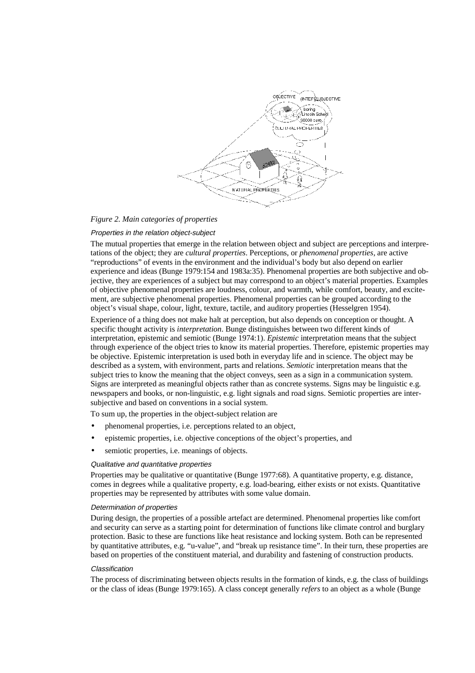

#### *Figure 2. Main categories of properties*

#### Properties in the relation object-subject

The mutual properties that emerge in the relation between object and subject are perceptions and interpretations of the object; they are *cultural properties*. Perceptions, or *phenomenal properties*, are active "reproductions" of events in the environment and the individual's body but also depend on earlier experience and ideas (Bunge 1979:154 and 1983a:35). Phenomenal properties are both subjective and objective, they are experiences of a subject but may correspond to an object's material properties. Examples of objective phenomenal properties are loudness, colour, and warmth, while comfort, beauty, and excitement, are subjective phenomenal properties. Phenomenal properties can be grouped according to the object's visual shape, colour, light, texture, tactile, and auditory properties (Hesselgren 1954).

Experience of a thing does not make halt at perception, but also depends on conception or thought. A specific thought activity is *interpretation*. Bunge distinguishes between two different kinds of interpretation, epistemic and semiotic (Bunge 1974:1). *Epistemic* interpretation means that the subject through experience of the object tries to know its material properties. Therefore, epistemic properties may be objective. Epistemic interpretation is used both in everyday life and in science. The object may be described as a system, with environment, parts and relations. *Semiotic* interpretation means that the subject tries to know the meaning that the object conveys, seen as a sign in a communication system. Signs are interpreted as meaningful objects rather than as concrete systems. Signs may be linguistic e.g. newspapers and books, or non-linguistic, e.g. light signals and road signs. Semiotic properties are intersubjective and based on conventions in a social system.

To sum up, the properties in the object-subject relation are

- phenomenal properties, i.e. perceptions related to an object,
- epistemic properties, i.e. objective conceptions of the object's properties, and
- semiotic properties, i.e. meanings of objects.

#### Qualitative and quantitative properties

Properties may be qualitative or quantitative (Bunge 1977:68). A quantitative property, e.g. distance, comes in degrees while a qualitative property, e.g. load-bearing, either exists or not exists. Quantitative properties may be represented by attributes with some value domain.

#### Determination of properties

During design, the properties of a possible artefact are determined. Phenomenal properties like comfort and security can serve as a starting point for determination of functions like climate control and burglary protection. Basic to these are functions like heat resistance and locking system. Both can be represented by quantitative attributes, e.g. "u-value", and "break up resistance time". In their turn, these properties are based on properties of the constituent material, and durability and fastening of construction products.

#### **Classification**

The process of discriminating between objects results in the formation of kinds, e.g. the class of buildings or the class of ideas (Bunge 1979:165). A class concept generally *refers* to an object as a whole (Bunge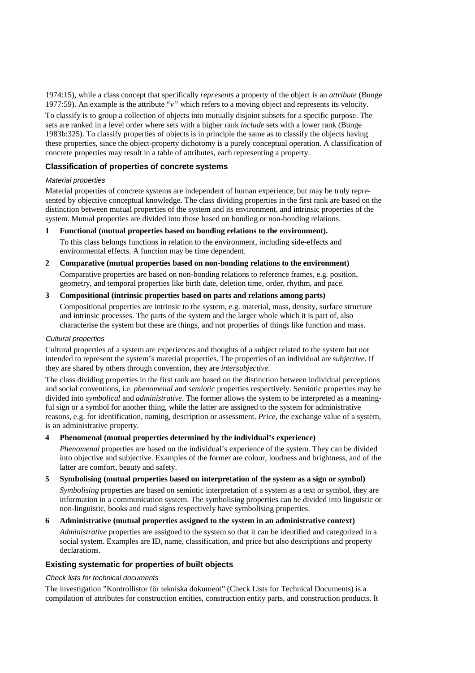1974:15), while a class concept that specifically *represents* a property of the object is an *attribute* (Bunge 1977:59). An example is the attribute "*v"* which refers to a moving object and represents its velocity.

To classify is to group a collection of objects into mutually disjoint subsets for a specific purpose. The sets are ranked in a level order where sets with a higher rank *include* sets with a lower rank (Bunge 1983b:325). To classify properties of objects is in principle the same as to classify the objects having these properties, since the object-property dichotomy is a purely conceptual operation. A classification of concrete properties may result in a table of attributes, each representing a property.

## **Classification of properties of concrete systems**

# Material properties

Material properties of concrete systems are independent of human experience, but may be truly represented by objective conceptual knowledge. The class dividing properties in the first rank are based on the distinction between mutual properties of the system and its environment, and intrinsic properties of the system. Mutual properties are divided into those based on bonding or non-bonding relations.

## **1 Functional (mutual properties based on bonding relations to the environment).**

To this class belongs functions in relation to the environment, including side-effects and environmental effects. A function may be time dependent.

**2 Comparative (mutual properties based on non-bonding relations to the environment)**

Comparative properties are based on non-bonding relations to reference frames, e.g. position, geometry, and temporal properties like birth date, deletion time, order, rhythm, and pace.

## **3 Compositional (intrinsic properties based on parts and relations among parts)**

Compositional properties are intrinsic to the system, e.g. material, mass, density, surface structure and intrinsic processes. The parts of the system and the larger whole which it is part of, also characterise the system but these are things, and not properties of things like function and mass.

## Cultural properties

Cultural properties of a system are experiences and thoughts of a subject related to the system but not intended to represent the system's material properties. The properties of an individual are *subjective*. If they are shared by others through convention, they are *intersubjective*.

The class dividing properties in the first rank are based on the distinction between individual perceptions and social conventions, i.e. *phenomenal* and *semiotic* properties respectively. Semiotic properties may be divided into *symbolical* and *administrative*. The former allows the system to be interpreted as a meaningful sign or a symbol for another thing, while the latter are assigned to the system for administrative reasons, e.g. for identification, naming, description or assessment. *Price,* the exchange value of a system, is an administrative property.

# **4 Phenomenal (mutual properties determined by the individual's experience)**

*Phenomenal* properties are based on the individual's experience of the system. They can be divided into objective and subjective. Examples of the former are colour, loudness and brightness, and of the latter are comfort, beauty and safety.

## **5 Symbolising (mutual properties based on interpretation of the system as a sign or symbol)**

*Symbolising* properties are based on semiotic interpretation of a system as a text or symbol, they are information in a communication system. The symbolising properties can be divided into linguistic or non-linguistic, books and road signs respectively have symbolising properties.

## **6 Administrative (mutual properties assigned to the system in an administrative context)**

*Administrative* properties are assigned to the system so that it can be identified and categorized in a social system. Examples are ID, name, classification, and price but also descriptions and property declarations.

# **Existing systematic for properties of built objects**

## Check lists for technical documents

The investigation "Kontrollistor för tekniska dokument" (Check Lists for Technical Documents) is a compilation of attributes for construction entities, construction entity parts, and construction products. It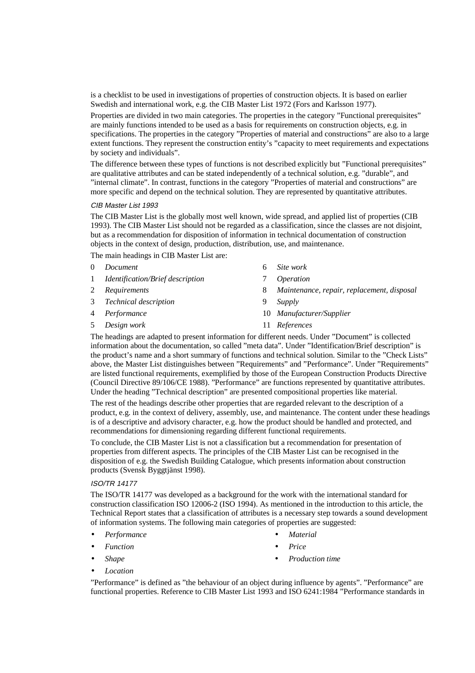is a checklist to be used in investigations of properties of construction objects. It is based on earlier Swedish and international work, e.g. the CIB Master List 1972 (Fors and Karlsson 1977).

Properties are divided in two main categories. The properties in the category "Functional prerequisites" are mainly functions intended to be used as a basis for requirements on construction objects, e.g. in specifications. The properties in the category "Properties of material and constructions" are also to a large extent functions. They represent the construction entity's "capacity to meet requirements and expectations by society and individuals".

The difference between these types of functions is not described explicitly but "Functional prerequisites" are qualitative attributes and can be stated independently of a technical solution, e.g. "durable", and "internal climate". In contrast, functions in the category "Properties of material and constructions" are more specific and depend on the technical solution. They are represented by quantitative attributes.

#### CIB Master List 1993

The CIB Master List is the globally most well known, wide spread, and applied list of properties (CIB 1993). The CIB Master List should not be regarded as a classification, since the classes are not disjoint, but as a recommendation for disposition of information in technical documentation of construction objects in the context of design, production, distribution, use, and maintenance.

The main headings in CIB Master List are:

| $\Omega$ | Document                                |   | Site work                                  |
|----------|-----------------------------------------|---|--------------------------------------------|
| 1        | <i>Identification/Brief description</i> |   | <i>Operation</i>                           |
| 2        | Requirements                            | 8 | Maintenance, repair, replacement, disposal |
|          | 3 Technical description                 | 9 | Supply                                     |
|          | 4 <i>Performance</i>                    |   | 10 Manufacturer/Supplier                   |
|          | 5 Design work                           |   | 11 References                              |

The headings are adapted to present information for different needs. Under "Document" is collected information about the documentation, so called "meta data". Under "Identification/Brief description" is the product's name and a short summary of functions and technical solution. Similar to the "Check Lists" above, the Master List distinguishes between "Requirements" and "Performance". Under "Requirements" are listed functional requirements, exemplified by those of the European Construction Products Directive (Council Directive 89/106/CE 1988). "Performance" are functions represented by quantitative attributes. Under the heading "Technical description" are presented compositional properties like material.

The rest of the headings describe other properties that are regarded relevant to the description of a product, e.g. in the context of delivery, assembly, use, and maintenance. The content under these headings is of a descriptive and advisory character, e.g. how the product should be handled and protected, and recommendations for dimensioning regarding different functional requirements.

To conclude, the CIB Master List is not a classification but a recommendation for presentation of properties from different aspects. The principles of the CIB Master List can be recognised in the disposition of e.g. the Swedish Building Catalogue, which presents information about construction products (Svensk Byggtjänst 1998).

#### ISO/TR 14177

The ISO/TR 14177 was developed as a background for the work with the international standard for construction classification ISO 12006-2 (ISO 1994). As mentioned in the introduction to this article, the Technical Report states that a classification of attributes is a necessary step towards a sound development of information systems. The following main categories of properties are suggested:

- *Performance*
- *Function* • *Shape*
- *Material*
- *Price*
- *Production time*

• *Location*

"Performance" is defined as "the behaviour of an object during influence by agents". "Performance" are functional properties. Reference to CIB Master List 1993 and ISO 6241:1984 "Performance standards in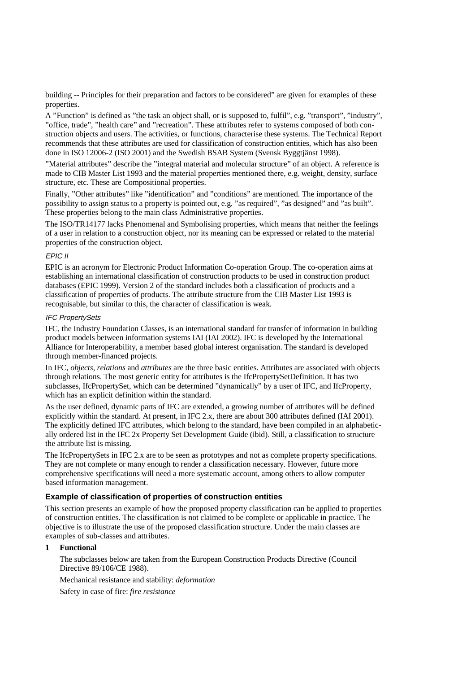building -- Principles for their preparation and factors to be considered" are given for examples of these properties.

A "Function" is defined as "the task an object shall, or is supposed to, fulfil", e.g. "transport", "industry", "office, trade", "health care" and "recreation". These attributes refer to systems composed of both construction objects and users. The activities, or functions, characterise these systems. The Technical Report recommends that these attributes are used for classification of construction entities, which has also been done in ISO 12006-2 (ISO 2001) and the Swedish BSAB System (Svensk Byggtjänst 1998).

"Material attributes" describe the "integral material and molecular structure" of an object. A reference is made to CIB Master List 1993 and the material properties mentioned there, e.g. weight, density, surface structure, etc. These are Compositional properties.

Finally, "Other attributes" like "identification" and "conditions" are mentioned. The importance of the possibility to assign status to a property is pointed out, e.g. "as required", "as designed" and "as built". These properties belong to the main class Administrative properties.

The ISO/TR14177 lacks Phenomenal and Symbolising properties, which means that neither the feelings of a user in relation to a construction object, nor its meaning can be expressed or related to the material properties of the construction object.

## EPIC II

EPIC is an acronym for Electronic Product Information Co-operation Group. The co-operation aims at establishing an international classification of construction products to be used in construction product databases (EPIC 1999). Version 2 of the standard includes both a classification of products and a classification of properties of products. The attribute structure from the CIB Master List 1993 is recognisable, but similar to this, the character of classification is weak.

#### IFC PropertySets

IFC, the Industry Foundation Classes, is an international standard for transfer of information in building product models between information systems IAI (IAI 2002). IFC is developed by the International Alliance for Interoperability, a member based global interest organisation. The standard is developed through member-financed projects.

In IFC, *objects*, *relations* and *attributes* are the three basic entities. Attributes are associated with objects through relations. The most generic entity for attributes is the IfcPropertySetDefinition. It has two subclasses, IfcPropertySet, which can be determined "dynamically" by a user of IFC, and IfcProperty, which has an explicit definition within the standard.

As the user defined, dynamic parts of IFC are extended, a growing number of attributes will be defined explicitly within the standard. At present, in IFC 2.x, there are about 300 attributes defined (IAI 2001). The explicitly defined IFC attributes, which belong to the standard, have been compiled in an alphabetically ordered list in the IFC 2x Property Set Development Guide (ibid). Still, a classification to structure the attribute list is missing.

The IfcPropertySets in IFC 2.x are to be seen as prototypes and not as complete property specifications. They are not complete or many enough to render a classification necessary. However, future more comprehensive specifications will need a more systematic account, among others to allow computer based information management.

# **Example of classification of properties of construction entities**

This section presents an example of how the proposed property classification can be applied to properties of construction entities. The classification is not claimed to be complete or applicable in practice. The objective is to illustrate the use of the proposed classification structure. Under the main classes are examples of sub-classes and attributes.

## **1 Functional**

The subclasses below are taken from the European Construction Products Directive (Council Directive 89/106/CE 1988).

Mechanical resistance and stability: *deformation*

Safety in case of fire: *fire resistance*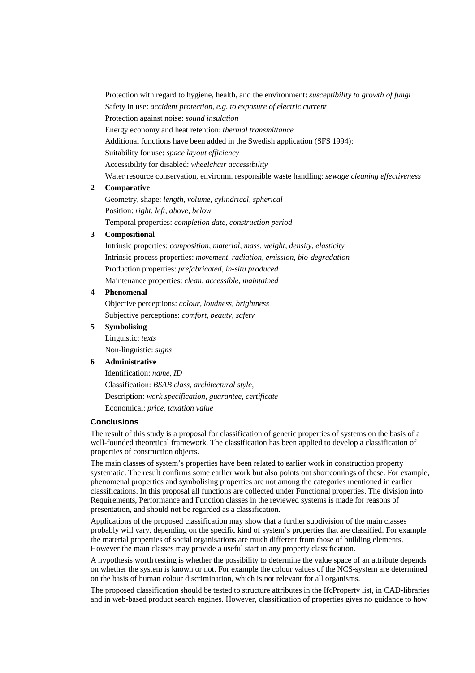Protection with regard to hygiene, health, and the environment: *susceptibility to growth of fungi* Safety in use: *accident protection, e.g. to exposure of electric current* Protection against noise: *sound insulation* Energy economy and heat retention: *thermal transmittance* Additional functions have been added in the Swedish application (SFS 1994): Suitability for use: *space layout efficiency* Accessibility for disabled: *wheelchair accessibility* Water resource conservation, environm. responsible waste handling: *sewage cleaning effectiveness*

## **2 Comparative**

Geometry, shape: *length, volume, cylindrical, spherical* Position: *right, left, above, below* Temporal properties: *completion date, construction period*

#### **3 Compositional**

Intrinsic properties: *composition, material, mass, weight, density, elasticity* Intrinsic process properties: *movement, radiation, emission, bio-degradation* Production properties: *prefabricated, in-situ produced* Maintenance properties: *clean, accessible, maintained*

#### **4 Phenomenal**

Objective perceptions: *colour, loudness, brightness* Subjective perceptions: *comfort, beauty, safety*

#### **5 Symbolising**

Linguistic: *texts* Non-linguistic: *signs*

#### **6 Administrative**

Identification: *name, ID* Classification: *BSAB class, architectural style,* Description: *work specification, guarantee, certificate* Economical: *price, taxation value*

## **Conclusions**

The result of this study is a proposal for classification of generic properties of systems on the basis of a well-founded theoretical framework. The classification has been applied to develop a classification of properties of construction objects.

The main classes of system's properties have been related to earlier work in construction property systematic. The result confirms some earlier work but also points out shortcomings of these. For example, phenomenal properties and symbolising properties are not among the categories mentioned in earlier classifications. In this proposal all functions are collected under Functional properties. The division into Requirements, Performance and Function classes in the reviewed systems is made for reasons of presentation, and should not be regarded as a classification.

Applications of the proposed classification may show that a further subdivision of the main classes probably will vary, depending on the specific kind of system's properties that are classified. For example the material properties of social organisations are much different from those of building elements. However the main classes may provide a useful start in any property classification.

A hypothesis worth testing is whether the possibility to determine the value space of an attribute depends on whether the system is known or not. For example the colour values of the NCS-system are determined on the basis of human colour discrimination, which is not relevant for all organisms.

The proposed classification should be tested to structure attributes in the IfcProperty list, in CAD-libraries and in web-based product search engines. However, classification of properties gives no guidance to how